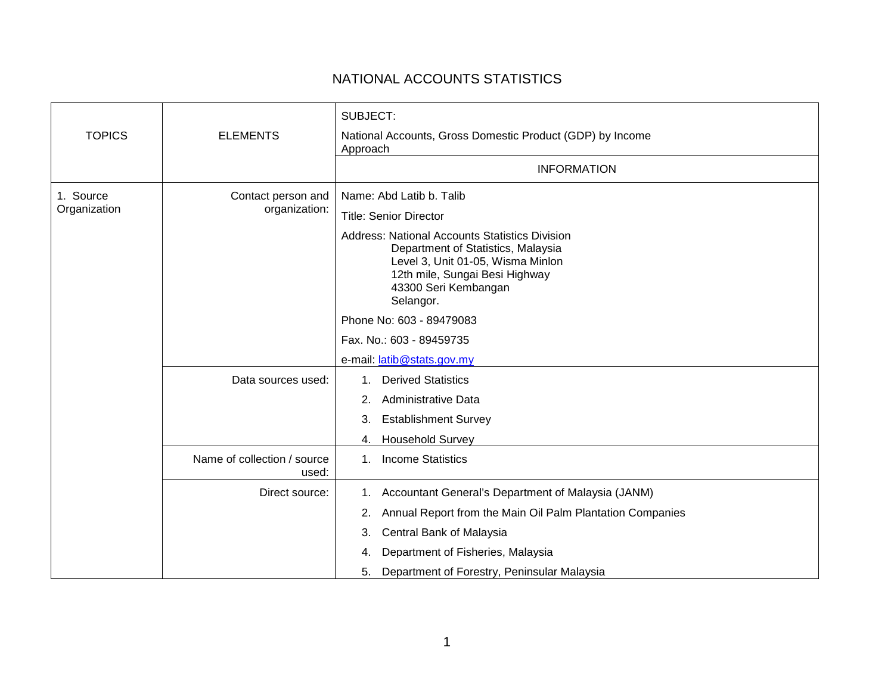## NATIONAL ACCOUNTS STATISTICS

|                           |                                      | SUBJECT:                                                                                                                                                                                                |
|---------------------------|--------------------------------------|---------------------------------------------------------------------------------------------------------------------------------------------------------------------------------------------------------|
| <b>TOPICS</b>             | <b>ELEMENTS</b>                      | National Accounts, Gross Domestic Product (GDP) by Income<br>Approach                                                                                                                                   |
|                           |                                      | <b>INFORMATION</b>                                                                                                                                                                                      |
| 1. Source<br>Organization | Contact person and<br>organization:  | Name: Abd Latib b. Talib                                                                                                                                                                                |
|                           |                                      | <b>Title: Senior Director</b>                                                                                                                                                                           |
|                           |                                      | <b>Address: National Accounts Statistics Division</b><br>Department of Statistics, Malaysia<br>Level 3, Unit 01-05, Wisma Minlon<br>12th mile, Sungai Besi Highway<br>43300 Seri Kembangan<br>Selangor. |
|                           |                                      | Phone No: 603 - 89479083                                                                                                                                                                                |
|                           |                                      | Fax. No.: 603 - 89459735                                                                                                                                                                                |
|                           |                                      | e-mail: latib@stats.gov.my                                                                                                                                                                              |
|                           | Data sources used:                   | <b>Derived Statistics</b><br>1.                                                                                                                                                                         |
|                           |                                      | Administrative Data<br>2.                                                                                                                                                                               |
|                           |                                      | <b>Establishment Survey</b><br>3.                                                                                                                                                                       |
|                           |                                      | <b>Household Survey</b><br>4.                                                                                                                                                                           |
|                           | Name of collection / source<br>used: | <b>Income Statistics</b><br>$1_{\cdot}$                                                                                                                                                                 |
|                           | Direct source:                       | Accountant General's Department of Malaysia (JANM)<br>1.                                                                                                                                                |
|                           |                                      | Annual Report from the Main Oil Palm Plantation Companies<br>2.                                                                                                                                         |
|                           |                                      | Central Bank of Malaysia<br>3.                                                                                                                                                                          |
|                           |                                      | Department of Fisheries, Malaysia<br>4.                                                                                                                                                                 |
|                           |                                      | Department of Forestry, Peninsular Malaysia<br>5.                                                                                                                                                       |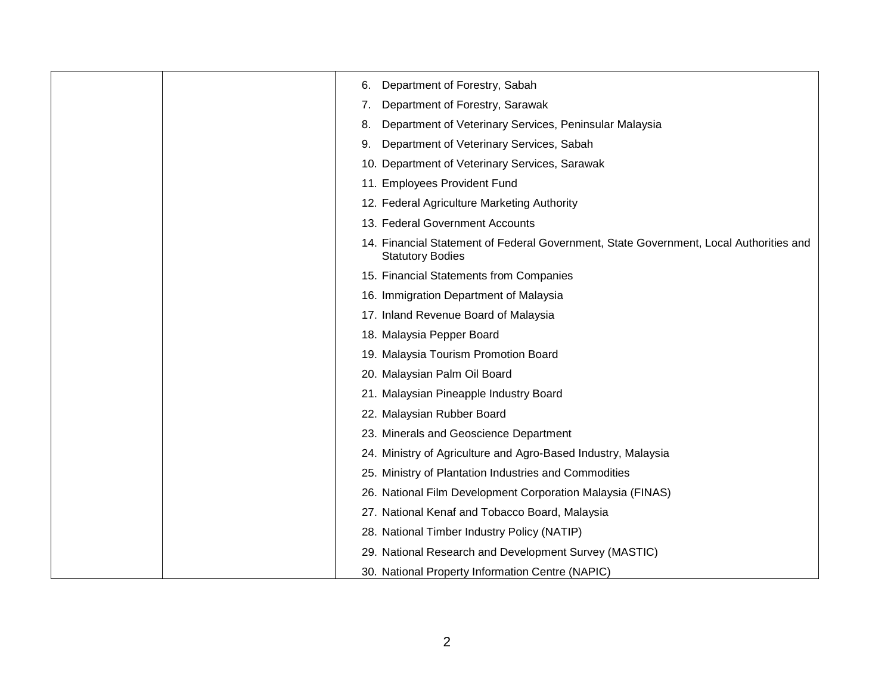| 6. | Department of Forestry, Sabah                                                                                     |
|----|-------------------------------------------------------------------------------------------------------------------|
| 7. | Department of Forestry, Sarawak                                                                                   |
| 8. | Department of Veterinary Services, Peninsular Malaysia                                                            |
| 9. | Department of Veterinary Services, Sabah                                                                          |
|    | 10. Department of Veterinary Services, Sarawak                                                                    |
|    | 11. Employees Provident Fund                                                                                      |
|    | 12. Federal Agriculture Marketing Authority                                                                       |
|    | 13. Federal Government Accounts                                                                                   |
|    | 14. Financial Statement of Federal Government, State Government, Local Authorities and<br><b>Statutory Bodies</b> |
|    | 15. Financial Statements from Companies                                                                           |
|    | 16. Immigration Department of Malaysia                                                                            |
|    | 17. Inland Revenue Board of Malaysia                                                                              |
|    | 18. Malaysia Pepper Board                                                                                         |
|    | 19. Malaysia Tourism Promotion Board                                                                              |
|    | 20. Malaysian Palm Oil Board                                                                                      |
|    | 21. Malaysian Pineapple Industry Board                                                                            |
|    | 22. Malaysian Rubber Board                                                                                        |
|    | 23. Minerals and Geoscience Department                                                                            |
|    | 24. Ministry of Agriculture and Agro-Based Industry, Malaysia                                                     |
|    | 25. Ministry of Plantation Industries and Commodities                                                             |
|    | 26. National Film Development Corporation Malaysia (FINAS)                                                        |
|    | 27. National Kenaf and Tobacco Board, Malaysia                                                                    |
|    | 28. National Timber Industry Policy (NATIP)                                                                       |
|    | 29. National Research and Development Survey (MASTIC)                                                             |
|    | 30. National Property Information Centre (NAPIC)                                                                  |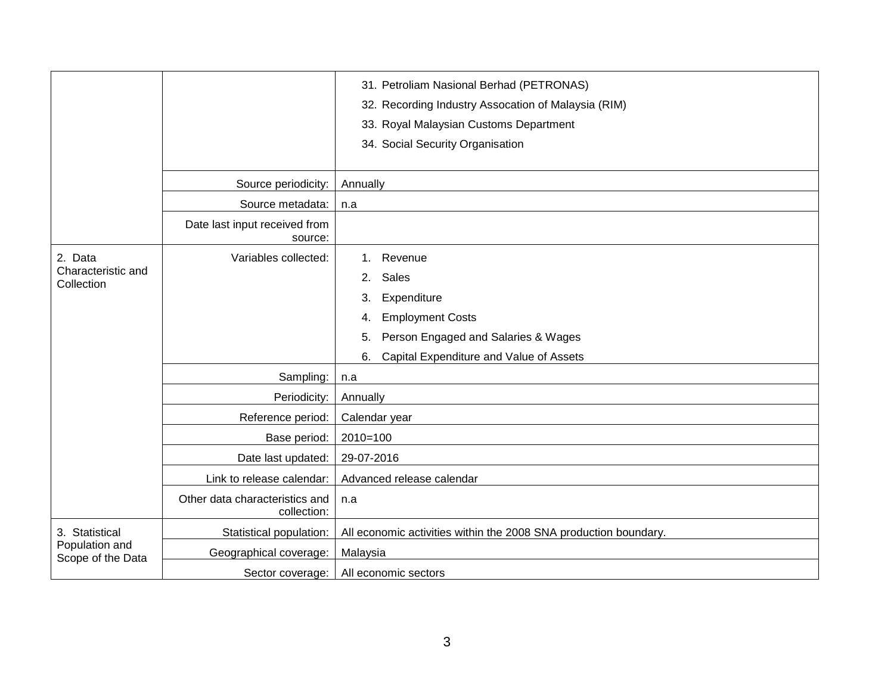|                                                       |                                               | 31. Petroliam Nasional Berhad (PETRONAS)                         |
|-------------------------------------------------------|-----------------------------------------------|------------------------------------------------------------------|
|                                                       |                                               | 32. Recording Industry Assocation of Malaysia (RIM)              |
|                                                       |                                               | 33. Royal Malaysian Customs Department                           |
|                                                       |                                               | 34. Social Security Organisation                                 |
|                                                       |                                               |                                                                  |
|                                                       | Source periodicity:                           | Annually                                                         |
|                                                       | Source metadata:                              | n.a                                                              |
|                                                       | Date last input received from<br>source:      |                                                                  |
| 2. Data                                               | Variables collected:                          | Revenue<br>$1_{-}$                                               |
| Characteristic and<br>Collection                      |                                               | Sales<br>2.                                                      |
|                                                       |                                               | Expenditure<br>3.                                                |
|                                                       |                                               | <b>Employment Costs</b><br>4.                                    |
|                                                       |                                               | Person Engaged and Salaries & Wages<br>5.                        |
|                                                       |                                               | Capital Expenditure and Value of Assets<br>6.                    |
|                                                       | Sampling:                                     | n.a                                                              |
|                                                       | Periodicity:                                  | Annually                                                         |
|                                                       | Reference period:                             | Calendar year                                                    |
|                                                       | Base period:                                  | $2010=100$                                                       |
|                                                       | Date last updated:                            | 29-07-2016                                                       |
|                                                       | Link to release calendar:                     | Advanced release calendar                                        |
|                                                       | Other data characteristics and<br>collection: | n.a                                                              |
| 3. Statistical<br>Population and<br>Scope of the Data | Statistical population:                       | All economic activities within the 2008 SNA production boundary. |
|                                                       | Geographical coverage:                        | Malaysia                                                         |
|                                                       | Sector coverage:                              | All economic sectors                                             |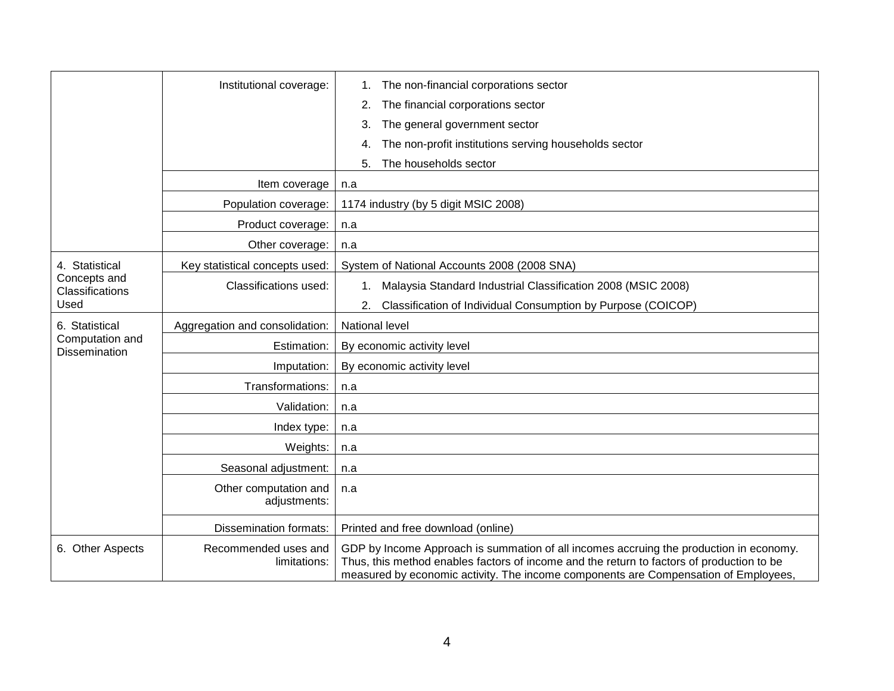|                                         | Institutional coverage:              | The non-financial corporations sector<br>1.                                                                                                                                                                                                                                |
|-----------------------------------------|--------------------------------------|----------------------------------------------------------------------------------------------------------------------------------------------------------------------------------------------------------------------------------------------------------------------------|
|                                         |                                      | The financial corporations sector<br>2.                                                                                                                                                                                                                                    |
|                                         |                                      | The general government sector<br>3.                                                                                                                                                                                                                                        |
|                                         |                                      | The non-profit institutions serving households sector<br>4.                                                                                                                                                                                                                |
|                                         |                                      | The households sector<br>5.                                                                                                                                                                                                                                                |
|                                         | Item coverage                        | n.a                                                                                                                                                                                                                                                                        |
|                                         | Population coverage:                 | 1174 industry (by 5 digit MSIC 2008)                                                                                                                                                                                                                                       |
|                                         | Product coverage:                    | n.a                                                                                                                                                                                                                                                                        |
|                                         | Other coverage:                      | n.a                                                                                                                                                                                                                                                                        |
| 4. Statistical                          | Key statistical concepts used:       | System of National Accounts 2008 (2008 SNA)                                                                                                                                                                                                                                |
| Concepts and<br>Classifications         | Classifications used:                | Malaysia Standard Industrial Classification 2008 (MSIC 2008)<br>$1_{\cdot}$                                                                                                                                                                                                |
| Used                                    |                                      | Classification of Individual Consumption by Purpose (COICOP)<br>2.                                                                                                                                                                                                         |
| 6. Statistical                          | Aggregation and consolidation:       | National level                                                                                                                                                                                                                                                             |
| Computation and<br><b>Dissemination</b> | Estimation:                          | By economic activity level                                                                                                                                                                                                                                                 |
|                                         | Imputation:                          | By economic activity level                                                                                                                                                                                                                                                 |
|                                         | Transformations:                     | n.a                                                                                                                                                                                                                                                                        |
|                                         | Validation:                          | n.a                                                                                                                                                                                                                                                                        |
|                                         | Index type:                          | n.a                                                                                                                                                                                                                                                                        |
|                                         | Weights:                             | n.a                                                                                                                                                                                                                                                                        |
|                                         | Seasonal adjustment:                 | n.a                                                                                                                                                                                                                                                                        |
|                                         | Other computation and                | n.a                                                                                                                                                                                                                                                                        |
|                                         | adjustments:                         |                                                                                                                                                                                                                                                                            |
|                                         | Dissemination formats:               | Printed and free download (online)                                                                                                                                                                                                                                         |
| 6. Other Aspects                        | Recommended uses and<br>limitations: | GDP by Income Approach is summation of all incomes accruing the production in economy.<br>Thus, this method enables factors of income and the return to factors of production to be<br>measured by economic activity. The income components are Compensation of Employees, |